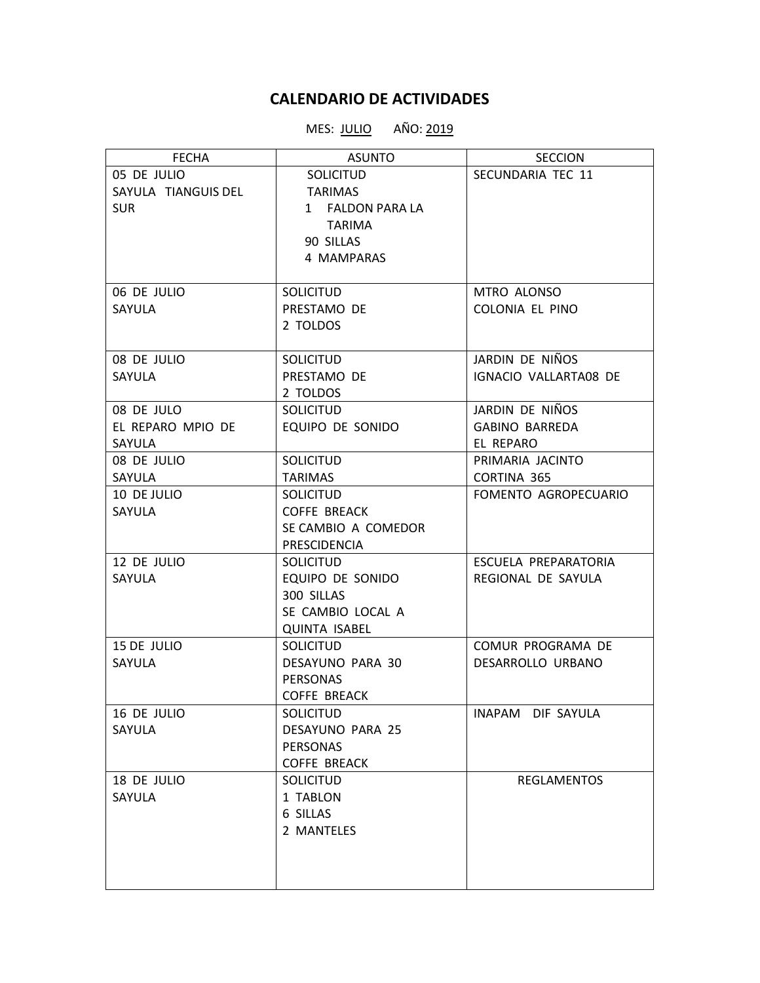## **CALENDARIO DE ACTIVIDADES**

## MES: **JULIO** AÑO: 2019

| <b>FECHA</b>        | <b>ASUNTO</b>        | <b>SECCION</b>        |
|---------------------|----------------------|-----------------------|
| 05 DE JULIO         | <b>SOLICITUD</b>     | SECUNDARIA TEC 11     |
| SAYULA TIANGUIS DEL | <b>TARIMAS</b>       |                       |
| <b>SUR</b>          | 1 FALDON PARA LA     |                       |
|                     | <b>TARIMA</b>        |                       |
|                     | 90 SILLAS            |                       |
|                     | 4 MAMPARAS           |                       |
|                     |                      |                       |
| 06 DE JULIO         | <b>SOLICITUD</b>     | MTRO ALONSO           |
| SAYULA              | PRESTAMO DE          | COLONIA EL PINO       |
|                     | 2 TOLDOS             |                       |
|                     |                      |                       |
| 08 DE JULIO         | SOLICITUD            | JARDIN DE NIÑOS       |
| SAYULA              | PRESTAMO DE          | IGNACIO VALLARTA08 DE |
|                     | 2 TOLDOS             |                       |
| 08 DE JULO          | <b>SOLICITUD</b>     | JARDIN DE NIÑOS       |
| EL REPARO MPIO DE   | EQUIPO DE SONIDO     | <b>GABINO BARREDA</b> |
| <b>SAYULA</b>       |                      | EL REPARO             |
| 08 DE JULIO         | <b>SOLICITUD</b>     | PRIMARIA JACINTO      |
| SAYULA              | <b>TARIMAS</b>       | CORTINA 365           |
| 10 DE JULIO         | <b>SOLICITUD</b>     | FOMENTO AGROPECUARIO  |
| SAYULA              | <b>COFFE BREACK</b>  |                       |
|                     | SE CAMBIO A COMEDOR  |                       |
|                     | PRESCIDENCIA         |                       |
| 12 DE JULIO         | <b>SOLICITUD</b>     | ESCUELA PREPARATORIA  |
| SAYULA              | EQUIPO DE SONIDO     | REGIONAL DE SAYULA    |
|                     | 300 SILLAS           |                       |
|                     | SE CAMBIO LOCAL A    |                       |
|                     | <b>QUINTA ISABEL</b> |                       |
| 15 DE JULIO         | <b>SOLICITUD</b>     | COMUR PROGRAMA DE     |
| SAYULA              | DESAYUNO PARA 30     | DESARROLLO URBANO     |
|                     | <b>PERSONAS</b>      |                       |
|                     | <b>COFFE BREACK</b>  |                       |
| 16 DE JULIO         | <b>SOLICITUD</b>     | INAPAM DIF SAYULA     |
| SAYULA              | DESAYUNO PARA 25     |                       |
|                     | <b>PERSONAS</b>      |                       |
|                     | <b>COFFE BREACK</b>  |                       |
| 18 DE JULIO         | <b>SOLICITUD</b>     | <b>REGLAMENTOS</b>    |
| SAYULA              | 1 TABLON             |                       |
|                     | 6 SILLAS             |                       |
|                     | 2 MANTELES           |                       |
|                     |                      |                       |
|                     |                      |                       |
|                     |                      |                       |